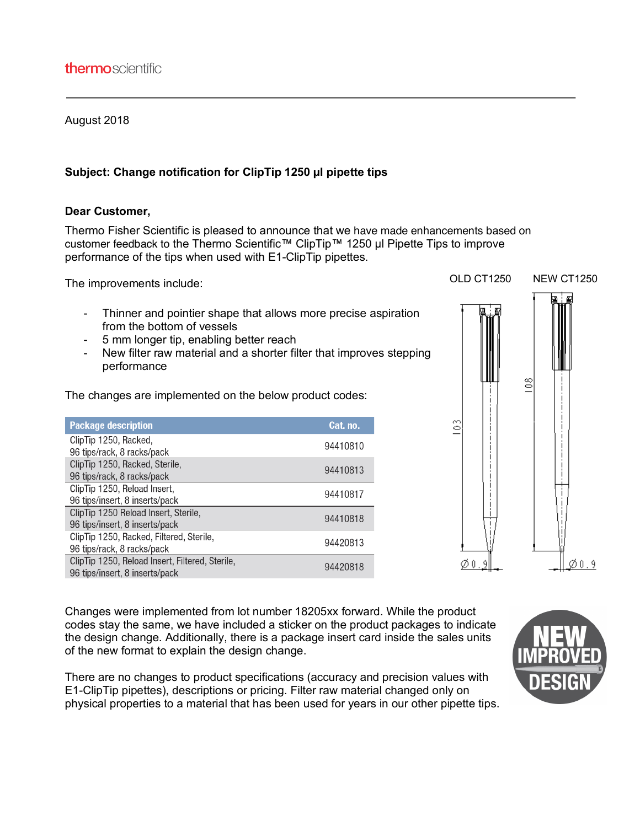## August 2018

## **Subject: Change notification for ClipTip 1250 µl pipette tips**

## **Dear Customer,**

Thermo Fisher Scientific is pleased to announce that we have made enhancements based on customer feedback to the Thermo Scientific™ ClipTip™ 1250 µl Pipette Tips to improve performance of the tips when used with E1-ClipTip pipettes.

The improvements include:

- Thinner and pointier shape that allows more precise aspiration from the bottom of vessels
- 5 mm longer tip, enabling better reach
- New filter raw material and a shorter filter that improves stepping performance

The changes are implemented on the below product codes:

| <b>Package description</b>                      | Cat. no. |
|-------------------------------------------------|----------|
| ClipTip 1250, Racked,                           | 94410810 |
| 96 tips/rack, 8 racks/pack                      |          |
| ClipTip 1250, Racked, Sterile,                  | 94410813 |
| 96 tips/rack, 8 racks/pack                      |          |
| ClipTip 1250, Reload Insert,                    | 94410817 |
| 96 tips/insert, 8 inserts/pack                  |          |
| ClipTip 1250 Reload Insert, Sterile,            | 94410818 |
| 96 tips/insert, 8 inserts/pack                  |          |
| ClipTip 1250, Racked, Filtered, Sterile,        | 94420813 |
| 96 tips/rack, 8 racks/pack                      |          |
| ClipTip 1250, Reload Insert, Filtered, Sterile, | 94420818 |
| 96 tips/insert, 8 inserts/pack                  |          |



Changes were implemented from lot number 18205xx forward. While the product codes stay the same, we have included a sticker on the product packages to indicate the design change. Additionally, there is a package insert card inside the sales units of the new format to explain the design change.

There are no changes to product specifications (accuracy and precision values with E1-ClipTip pipettes), descriptions or pricing. Filter raw material changed only on physical properties to a material that has been used for years in our other pipette tips.